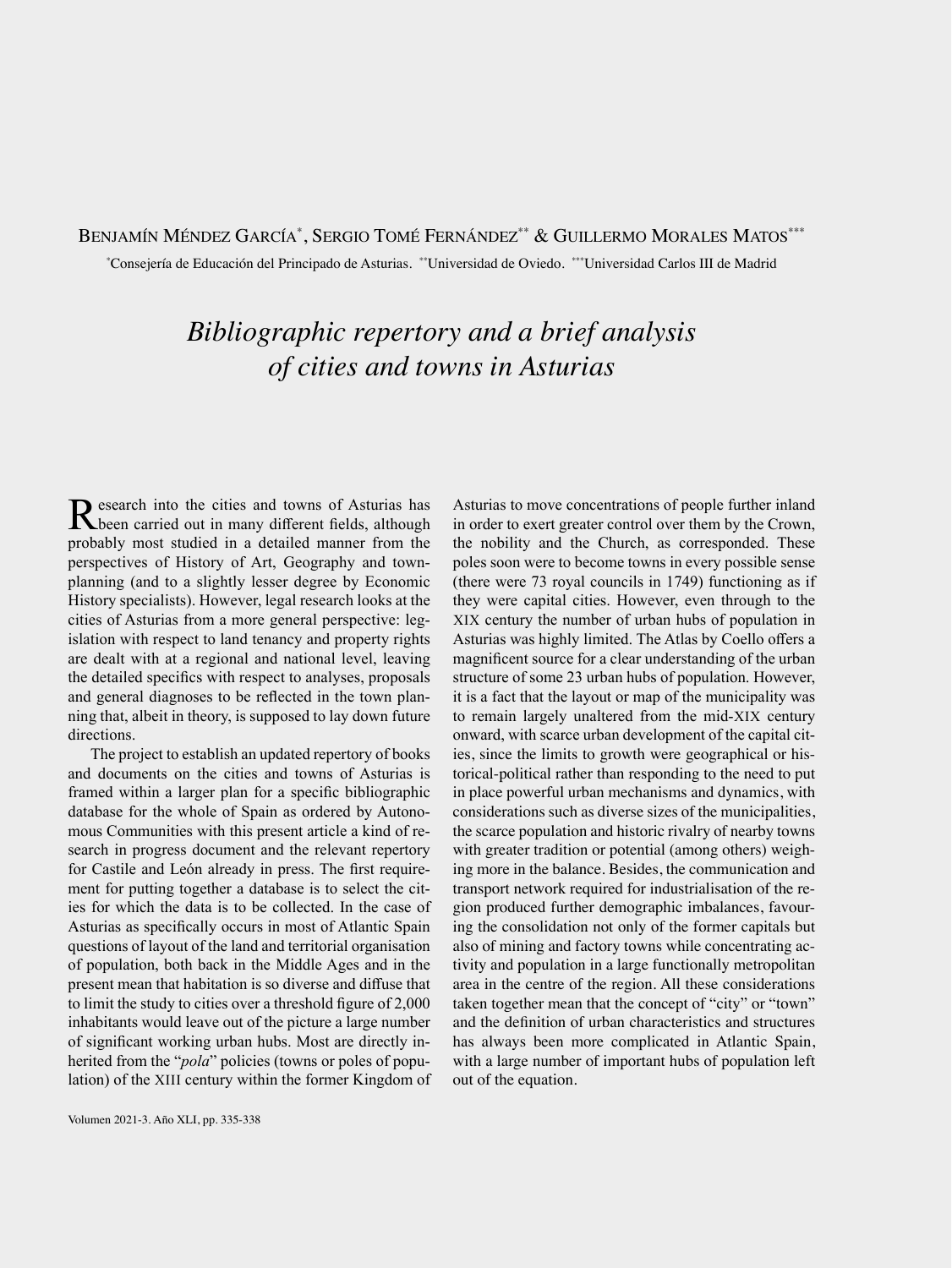## Benjamín Méndez García\*, Sergio Tomé Fernández\*\* & Guillermo Morales Matos\*\*\*

\* Consejería de Educación del Principado de Asturias. \*\*Universidad de Oviedo. \*\*\*Universidad Carlos III de Madrid

## *Bibliographic repertory and a brief analysis of cities and towns in Asturias*

Research into the cities and towns of Asturias has been carried out in many different fields, although probably most studied in a detailed manner from the perspectives of History of Art, Geography and townplanning (and to a slightly lesser degree by Economic History specialists). However, legal research looks at the cities of Asturias from a more general perspective: legislation with respect to land tenancy and property rights are dealt with at a regional and national level, leaving the detailed specifics with respect to analyses, proposals and general diagnoses to be reflected in the town planning that, albeit in theory, is supposed to lay down future directions.

The project to establish an updated repertory of books and documents on the cities and towns of Asturias is framed within a larger plan for a specific bibliographic database for the whole of Spain as ordered by Autonomous Communities with this present article a kind of research in progress document and the relevant repertory for Castile and León already in press. The first requirement for putting together a database is to select the cities for which the data is to be collected. In the case of Asturias as specifically occurs in most of Atlantic Spain questions of layout of the land and territorial organisation of population, both back in the Middle Ages and in the present mean that habitation is so diverse and diffuse that to limit the study to cities over a threshold figure of 2,000 inhabitants would leave out of the picture a large number of significant working urban hubs. Most are directly inherited from the "*pola*" policies (towns or poles of population) of the XIII century within the former Kingdom of Asturias to move concentrations of people further inland in order to exert greater control over them by the Crown, the nobility and the Church, as corresponded. These poles soon were to become towns in every possible sense (there were 73 royal councils in 1749) functioning as if they were capital cities. However, even through to the XIX century the number of urban hubs of population in Asturias was highly limited. The Atlas by Coello offers a magnificent source for a clear understanding of the urban structure of some 23 urban hubs of population. However, it is a fact that the layout or map of the municipality was to remain largely unaltered from the mid-XIX century onward, with scarce urban development of the capital cities, since the limits to growth were geographical or historical-political rather than responding to the need to put in place powerful urban mechanisms and dynamics, with considerations such as diverse sizes of the municipalities, the scarce population and historic rivalry of nearby towns with greater tradition or potential (among others) weighing more in the balance. Besides, the communication and transport network required for industrialisation of the region produced further demographic imbalances, favouring the consolidation not only of the former capitals but also of mining and factory towns while concentrating activity and population in a large functionally metropolitan area in the centre of the region. All these considerations taken together mean that the concept of "city" or "town" and the definition of urban characteristics and structures has always been more complicated in Atlantic Spain, with a large number of important hubs of population left out of the equation.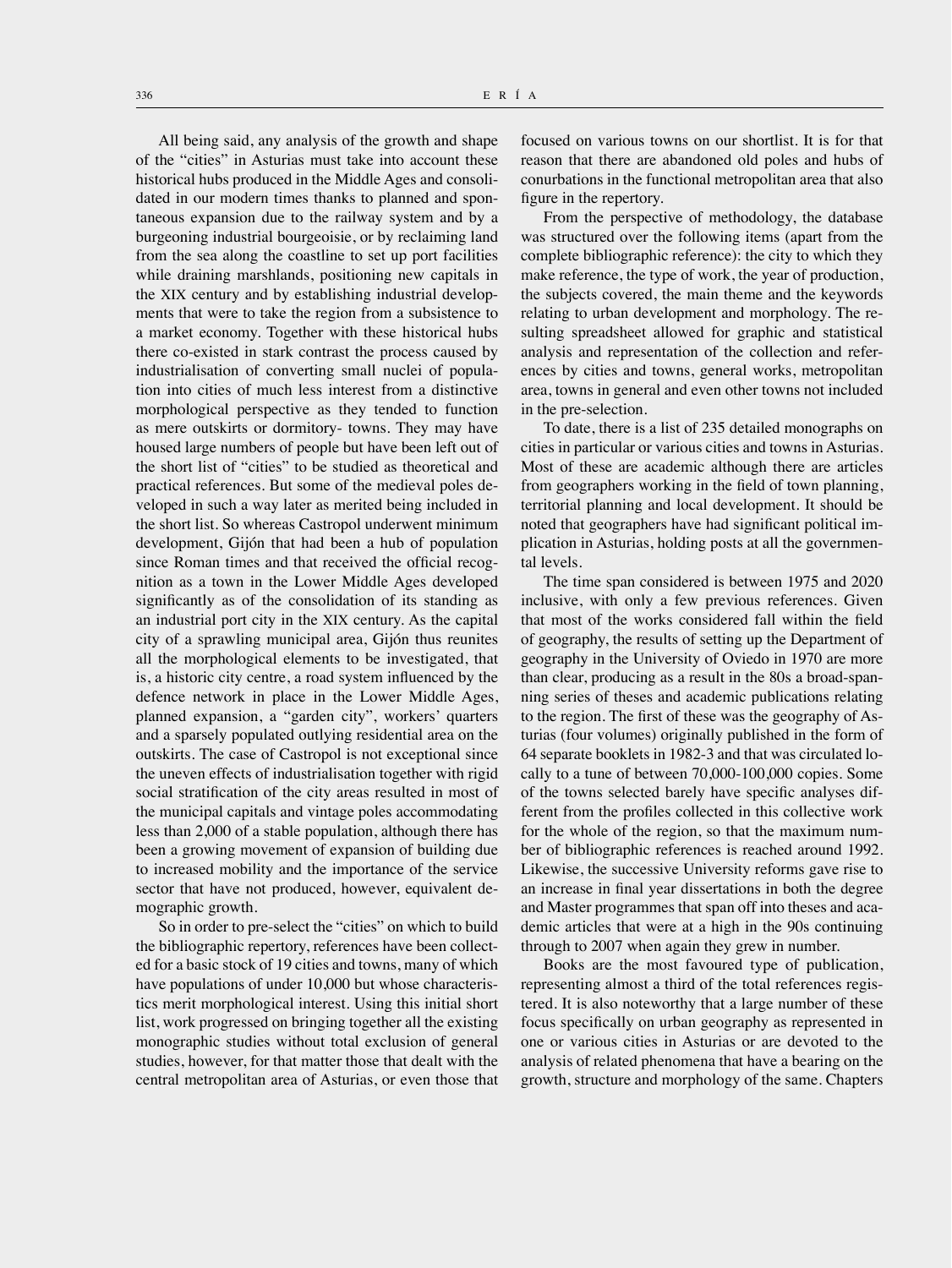All being said, any analysis of the growth and shape of the "cities" in Asturias must take into account these historical hubs produced in the Middle Ages and consolidated in our modern times thanks to planned and spontaneous expansion due to the railway system and by a burgeoning industrial bourgeoisie, or by reclaiming land from the sea along the coastline to set up port facilities while draining marshlands, positioning new capitals in the XIX century and by establishing industrial developments that were to take the region from a subsistence to a market economy. Together with these historical hubs there co-existed in stark contrast the process caused by industrialisation of converting small nuclei of population into cities of much less interest from a distinctive morphological perspective as they tended to function as mere outskirts or dormitory- towns. They may have housed large numbers of people but have been left out of the short list of "cities" to be studied as theoretical and practical references. But some of the medieval poles developed in such a way later as merited being included in the short list. So whereas Castropol underwent minimum development, Gijón that had been a hub of population since Roman times and that received the official recognition as a town in the Lower Middle Ages developed significantly as of the consolidation of its standing as an industrial port city in the XIX century. As the capital city of a sprawling municipal area, Gijón thus reunites all the morphological elements to be investigated, that is, a historic city centre, a road system influenced by the defence network in place in the Lower Middle Ages, planned expansion, a "garden city", workers' quarters and a sparsely populated outlying residential area on the outskirts. The case of Castropol is not exceptional since the uneven effects of industrialisation together with rigid social stratification of the city areas resulted in most of the municipal capitals and vintage poles accommodating less than 2,000 of a stable population, although there has been a growing movement of expansion of building due to increased mobility and the importance of the service sector that have not produced, however, equivalent demographic growth.

So in order to pre-select the "cities" on which to build the bibliographic repertory, references have been collected for a basic stock of 19 cities and towns, many of which have populations of under 10,000 but whose characteristics merit morphological interest. Using this initial short list, work progressed on bringing together all the existing monographic studies without total exclusion of general studies, however, for that matter those that dealt with the central metropolitan area of Asturias, or even those that

focused on various towns on our shortlist. It is for that reason that there are abandoned old poles and hubs of conurbations in the functional metropolitan area that also figure in the repertory.

From the perspective of methodology, the database was structured over the following items (apart from the complete bibliographic reference): the city to which they make reference, the type of work, the year of production, the subjects covered, the main theme and the keywords relating to urban development and morphology. The resulting spreadsheet allowed for graphic and statistical analysis and representation of the collection and references by cities and towns, general works, metropolitan area, towns in general and even other towns not included in the pre-selection.

To date, there is a list of 235 detailed monographs on cities in particular or various cities and towns in Asturias. Most of these are academic although there are articles from geographers working in the field of town planning, territorial planning and local development. It should be noted that geographers have had significant political implication in Asturias, holding posts at all the governmental levels.

The time span considered is between 1975 and 2020 inclusive, with only a few previous references. Given that most of the works considered fall within the field of geography, the results of setting up the Department of geography in the University of Oviedo in 1970 are more than clear, producing as a result in the 80s a broad-spanning series of theses and academic publications relating to the region. The first of these was the geography of Asturias (four volumes) originally published in the form of 64 separate booklets in 1982-3 and that was circulated locally to a tune of between 70,000-100,000 copies. Some of the towns selected barely have specific analyses different from the profiles collected in this collective work for the whole of the region, so that the maximum number of bibliographic references is reached around 1992. Likewise, the successive University reforms gave rise to an increase in final year dissertations in both the degree and Master programmes that span off into theses and academic articles that were at a high in the 90s continuing through to 2007 when again they grew in number.

Books are the most favoured type of publication, representing almost a third of the total references registered. It is also noteworthy that a large number of these focus specifically on urban geography as represented in one or various cities in Asturias or are devoted to the analysis of related phenomena that have a bearing on the growth, structure and morphology of the same. Chapters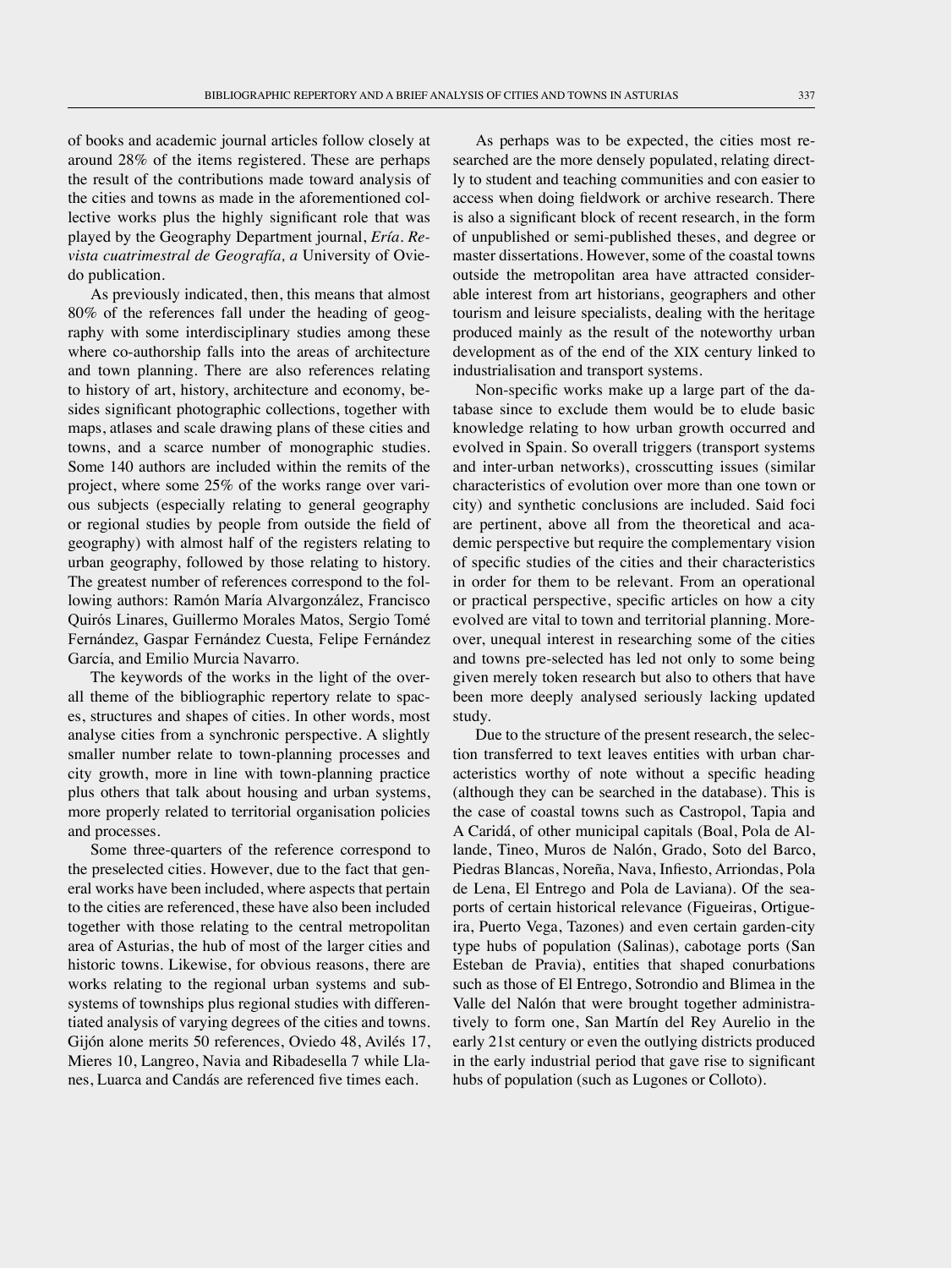of books and academic journal articles follow closely at around 28% of the items registered. These are perhaps the result of the contributions made toward analysis of the cities and towns as made in the aforementioned collective works plus the highly significant role that was played by the Geography Department journal, *Ería. Revista cuatrimestral de Geografía, a* University of Oviedo publication.

As previously indicated, then, this means that almost 80% of the references fall under the heading of geography with some interdisciplinary studies among these where co-authorship falls into the areas of architecture and town planning. There are also references relating to history of art, history, architecture and economy, besides significant photographic collections, together with maps, atlases and scale drawing plans of these cities and towns, and a scarce number of monographic studies. Some 140 authors are included within the remits of the project, where some 25% of the works range over various subjects (especially relating to general geography or regional studies by people from outside the field of geography) with almost half of the registers relating to urban geography, followed by those relating to history. The greatest number of references correspond to the following authors: Ramón María Alvargonzález, Francisco Quirós Linares, Guillermo Morales Matos, Sergio Tomé Fernández, Gaspar Fernández Cuesta, Felipe Fernández García, and Emilio Murcia Navarro.

The keywords of the works in the light of the overall theme of the bibliographic repertory relate to spaces, structures and shapes of cities. In other words, most analyse cities from a synchronic perspective. A slightly smaller number relate to town-planning processes and city growth, more in line with town-planning practice plus others that talk about housing and urban systems, more properly related to territorial organisation policies and processes.

Some three-quarters of the reference correspond to the preselected cities. However, due to the fact that general works have been included, where aspects that pertain to the cities are referenced, these have also been included together with those relating to the central metropolitan area of Asturias, the hub of most of the larger cities and historic towns. Likewise, for obvious reasons, there are works relating to the regional urban systems and subsystems of townships plus regional studies with differentiated analysis of varying degrees of the cities and towns. Gijón alone merits 50 references, Oviedo 48, Avilés 17, Mieres 10, Langreo, Navia and Ribadesella 7 while Llanes, Luarca and Candás are referenced five times each.

As perhaps was to be expected, the cities most researched are the more densely populated, relating directly to student and teaching communities and con easier to access when doing fieldwork or archive research. There is also a significant block of recent research, in the form of unpublished or semi-published theses, and degree or master dissertations. However, some of the coastal towns outside the metropolitan area have attracted considerable interest from art historians, geographers and other tourism and leisure specialists, dealing with the heritage produced mainly as the result of the noteworthy urban development as of the end of the XIX century linked to industrialisation and transport systems.

Non-specific works make up a large part of the database since to exclude them would be to elude basic knowledge relating to how urban growth occurred and evolved in Spain. So overall triggers (transport systems and inter-urban networks), crosscutting issues (similar characteristics of evolution over more than one town or city) and synthetic conclusions are included. Said foci are pertinent, above all from the theoretical and academic perspective but require the complementary vision of specific studies of the cities and their characteristics in order for them to be relevant. From an operational or practical perspective, specific articles on how a city evolved are vital to town and territorial planning. Moreover, unequal interest in researching some of the cities and towns pre-selected has led not only to some being given merely token research but also to others that have been more deeply analysed seriously lacking updated study.

Due to the structure of the present research, the selection transferred to text leaves entities with urban characteristics worthy of note without a specific heading (although they can be searched in the database). This is the case of coastal towns such as Castropol, Tapia and A Caridá, of other municipal capitals (Boal, Pola de Allande, Tineo, Muros de Nalón, Grado, Soto del Barco, Piedras Blancas, Noreña, Nava, Infiesto, Arriondas, Pola de Lena, El Entrego and Pola de Laviana). Of the seaports of certain historical relevance (Figueiras, Ortigueira, Puerto Vega, Tazones) and even certain garden-city type hubs of population (Salinas), cabotage ports (San Esteban de Pravia), entities that shaped conurbations such as those of El Entrego, Sotrondio and Blimea in the Valle del Nalón that were brought together administratively to form one, San Martín del Rey Aurelio in the early 21st century or even the outlying districts produced in the early industrial period that gave rise to significant hubs of population (such as Lugones or Colloto).